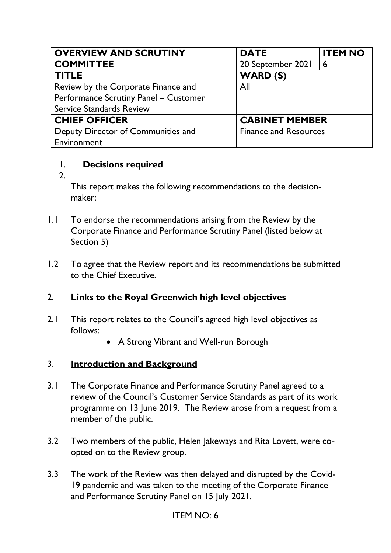| <b>OVERVIEW AND SCRUTINY</b>          | <b>DATE</b>                  | <b>ITEM NO</b> |
|---------------------------------------|------------------------------|----------------|
| <b>COMMITTEE</b>                      | 20 September 2021            | 6              |
| <b>TITLE</b>                          | WARD (S)                     |                |
| Review by the Corporate Finance and   | All                          |                |
| Performance Scrutiny Panel - Customer |                              |                |
| <b>Service Standards Review</b>       |                              |                |
| <b>CHIEF OFFICER</b>                  | <b>CABINET MEMBER</b>        |                |
| Deputy Director of Communities and    | <b>Finance and Resources</b> |                |
| Environment                           |                              |                |

#### 1. **Decisions required**

2.

This report makes the following recommendations to the decisionmaker:

- 1.1 To endorse the recommendations arising from the Review by the Corporate Finance and Performance Scrutiny Panel (listed below at Section 5)
- 1.2 To agree that the Review report and its recommendations be submitted to the Chief Executive.

## 2. **Links to the Royal Greenwich high level objectives**

- 2.1 This report relates to the Council's agreed high level objectives as follows:
	- A Strong Vibrant and Well-run Borough

#### 3. **Introduction and Background**

- 3.1 The Corporate Finance and Performance Scrutiny Panel agreed to a review of the Council's Customer Service Standards as part of its work programme on 13 June 2019. The Review arose from a request from a member of the public.
- 3.2 Two members of the public, Helen Jakeways and Rita Lovett, were coopted on to the Review group.
- 3.3 The work of the Review was then delayed and disrupted by the Covid-19 pandemic and was taken to the meeting of the Corporate Finance and Performance Scrutiny Panel on 15 July 2021.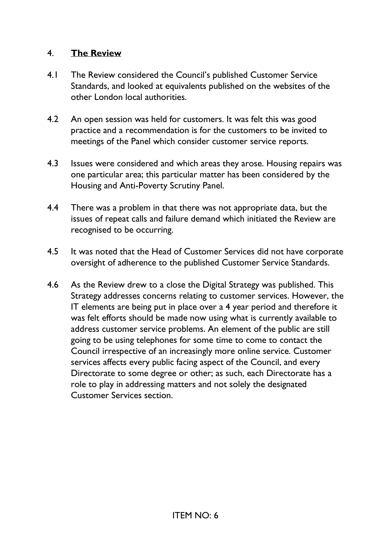#### 4. **The Review**

- 4.1 The Review considered the Council's published Customer Service Standards, and looked at equivalents published on the websites of the other London local authorities.
- 4.2 An open session was held for customers. It was felt this was good practice and a recommendation is for the customers to be invited to meetings of the Panel which consider customer service reports.
- 4.3 Issues were considered and which areas they arose. Housing repairs was one particular area; this particular matter has been considered by the Housing and Anti-Poverty Scrutiny Panel.
- 4.4 There was a problem in that there was not appropriate data, but the issues of repeat calls and failure demand which initiated the Review are recognised to be occurring.
- 4.5 It was noted that the Head of Customer Services did not have corporate oversight of adherence to the published Customer Service Standards.
- 4.6 As the Review drew to a close the Digital Strategy was published. This Strategy addresses concerns relating to customer services. However, the IT elements are being put in place over a 4 year period and therefore it was felt efforts should be made now using what is currently available to address customer service problems. An element of the public are still going to be using telephones for some time to come to contact the Council irrespective of an increasingly more online service. Customer services affects every public facing aspect of the Council, and every Directorate to some degree or other; as such, each Directorate has a role to play in addressing matters and not solely the designated Customer Services section.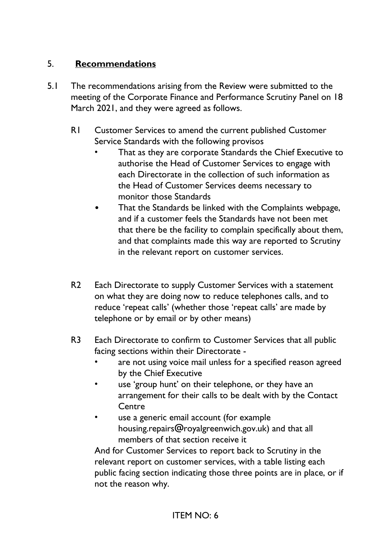## 5. **Recommendations**

- 5.1 The recommendations arising from the Review were submitted to the meeting of the Corporate Finance and Performance Scrutiny Panel on 18 March 2021, and they were agreed as follows.
	- R1 Customer Services to amend the current published Customer Service Standards with the following provisos
		- That as they are corporate Standards the Chief Executive to authorise the Head of Customer Services to engage with each Directorate in the collection of such information as the Head of Customer Services deems necessary to monitor those Standards
		- That the Standards be linked with the Complaints webpage, and if a customer feels the Standards have not been met that there be the facility to complain specifically about them, and that complaints made this way are reported to Scrutiny in the relevant report on customer services.
	- R2 Each Directorate to supply Customer Services with a statement on what they are doing now to reduce telephones calls, and to reduce 'repeat calls' (whether those 'repeat calls' are made by telephone or by email or by other means)
	- R3 Each Directorate to confirm to Customer Services that all public facing sections within their Directorate
		- are not using voice mail unless for a specified reason agreed by the Chief Executive
		- use 'group hunt' on their telephone, or they have an arrangement for their calls to be dealt with by the Contact **Centre**
		- use a generic email account (for example housing.repairs@royalgreenwich.gov.uk) and that all members of that section receive it

And for Customer Services to report back to Scrutiny in the relevant report on customer services, with a table listing each public facing section indicating those three points are in place, or if not the reason why.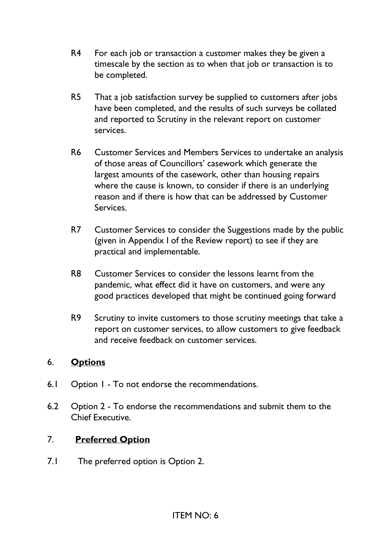- R4 For each job or transaction a customer makes they be given a timescale by the section as to when that job or transaction is to be completed.
- R5 That a job satisfaction survey be supplied to customers after jobs have been completed, and the results of such surveys be collated and reported to Scrutiny in the relevant report on customer services.
- R6 Customer Services and Members Services to undertake an analysis of those areas of Councillors' casework which generate the largest amounts of the casework, other than housing repairs where the cause is known, to consider if there is an underlying reason and if there is how that can be addressed by Customer Services.
- R7 Customer Services to consider the Suggestions made by the public (given in Appendix I of the Review report) to see if they are practical and implementable.
- R8 Customer Services to consider the lessons learnt from the pandemic, what effect did it have on customers, and were any good practices developed that might be continued going forward
- R9 Scrutiny to invite customers to those scrutiny meetings that take a report on customer services, to allow customers to give feedback and receive feedback on customer services.

## 6. **Options**

- 6.1 Option 1 To not endorse the recommendations.
- 6.2 Option 2 To endorse the recommendations and submit them to the Chief Executive.

## 7. **Preferred Option**

7.1 The preferred option is Option 2.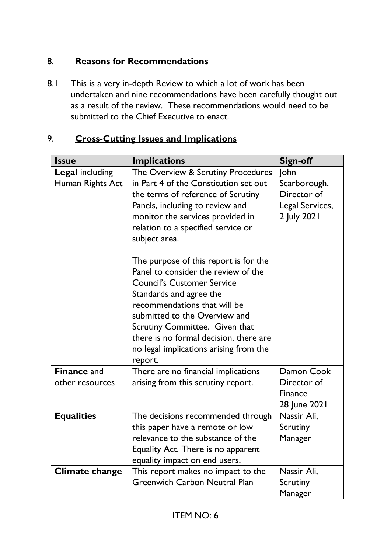## 8. **Reasons for Recommendations**

8.1 This is a very in-depth Review to which a lot of work has been undertaken and nine recommendations have been carefully thought out as a result of the review. These recommendations would need to be submitted to the Chief Executive to enact.

| <b>Issue</b>           | <b>Implications</b>                    | <b>Sign-off</b> |
|------------------------|----------------------------------------|-----------------|
| <b>Legal including</b> | The Overview & Scrutiny Procedures     | John            |
| Human Rights Act       | in Part 4 of the Constitution set out  | Scarborough,    |
|                        | the terms of reference of Scrutiny     | Director of     |
|                        | Panels, including to review and        | Legal Services, |
|                        | monitor the services provided in       | 2 July 2021     |
|                        | relation to a specified service or     |                 |
|                        | subject area.                          |                 |
|                        | The purpose of this report is for the  |                 |
|                        | Panel to consider the review of the    |                 |
|                        | <b>Council's Customer Service</b>      |                 |
|                        | Standards and agree the                |                 |
|                        | recommendations that will be           |                 |
|                        | submitted to the Overview and          |                 |
|                        | Scrutiny Committee. Given that         |                 |
|                        | there is no formal decision, there are |                 |
|                        | no legal implications arising from the |                 |
|                        | report.                                |                 |
| <b>Finance and</b>     | There are no financial implications    | Damon Cook      |
| other resources        | arising from this scrutiny report.     | Director of     |
|                        |                                        | <b>Finance</b>  |
|                        |                                        | 28 June 2021    |
| <b>Equalities</b>      | The decisions recommended through      | Nassir Ali,     |
|                        | this paper have a remote or low        | Scrutiny        |
|                        | relevance to the substance of the      | Manager         |
|                        | Equality Act. There is no apparent     |                 |
|                        | equality impact on end users.          |                 |
| <b>Climate change</b>  | This report makes no impact to the     | Nassir Ali,     |
|                        | <b>Greenwich Carbon Neutral Plan</b>   | Scrutiny        |
|                        |                                        | Manager         |

## 9. **Cross-Cutting Issues and Implications**